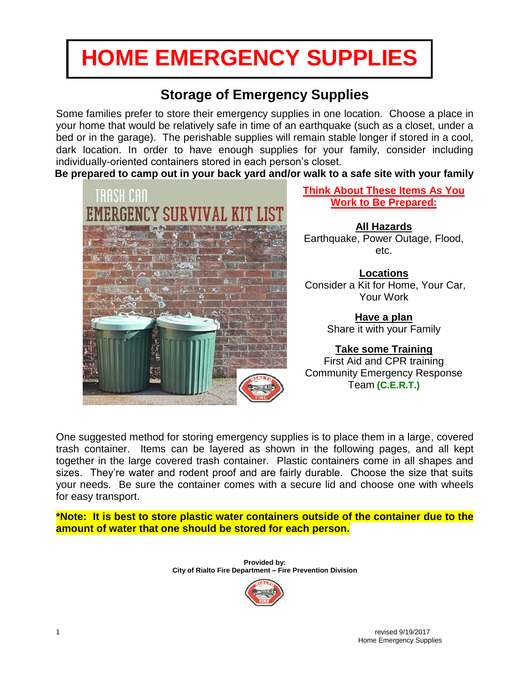# **HOME EMERGENCY SUPPLIES**

# **Storage of Emergency Supplies**

Some families prefer to store their emergency supplies in one location. Choose a place in your home that would be relatively safe in time of an earthquake (such as a closet, under a bed or in the garage). The perishable supplies will remain stable longer if stored in a cool, dark location. In order to have enough supplies for your family, consider including individually-oriented containers stored in each person's closet.

**Be prepared to camp out in your back yard and/or walk to a safe site with your family**



**Think About These Items As You Work to Be Prepared:**

**All Hazards** Earthquake, Power Outage, Flood, etc.

**Locations** Consider a Kit for Home, Your Car, Your Work

> **Have a plan**  Share it with your Family

### **Take some Training**

First Aid and CPR training Community Emergency Response Team **(C.E.R.T.)**

One suggested method for storing emergency supplies is to place them in a large, covered trash container. Items can be layered as shown in the following pages, and all kept together in the large covered trash container. Plastic containers come in all shapes and sizes. They're water and rodent proof and are fairly durable. Choose the size that suits your needs. Be sure the container comes with a secure lid and choose one with wheels for easy transport.

**\*Note: It is best to store plastic water containers outside of the container due to the amount of water that one should be stored for each person.**

> **Provided by: City of Rialto Fire Department – Fire Prevention Division**

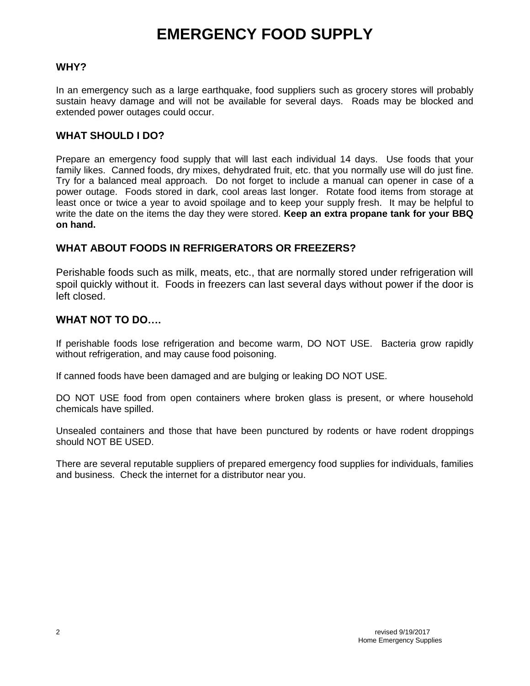# **EMERGENCY FOOD SUPPLY**

### **WHY?**

In an emergency such as a large earthquake, food suppliers such as grocery stores will probably sustain heavy damage and will not be available for several days. Roads may be blocked and extended power outages could occur.

### WHAT SHOULD LDO?

Prepare an emergency food supply that will last each individual 14 days. Use foods that your family likes. Canned foods, dry mixes, dehydrated fruit, etc. that you normally use will do just fine. Try for a balanced meal approach. Do not forget to include a manual can opener in case of a power outage. Foods stored in dark, cool areas last longer. Rotate food items from storage at least once or twice a year to avoid spoilage and to keep your supply fresh. It may be helpful to write the date on the items the day they were stored. **Keep an extra propane tank for your BBQ on hand.**

### **WHAT ABOUT FOODS IN REFRIGERATORS OR FREEZERS?**

Perishable foods such as milk, meats, etc., that are normally stored under refrigeration will spoil quickly without it. Foods in freezers can last several days without power if the door is left closed.

### **WHAT NOT TO DO….**

If perishable foods lose refrigeration and become warm, DO NOT USE. Bacteria grow rapidly without refrigeration, and may cause food poisoning.

If canned foods have been damaged and are bulging or leaking DO NOT USE.

DO NOT USE food from open containers where broken glass is present, or where household chemicals have spilled.

Unsealed containers and those that have been punctured by rodents or have rodent droppings should NOT BE USED.

There are several reputable suppliers of prepared emergency food supplies for individuals, families and business. Check the internet for a distributor near you.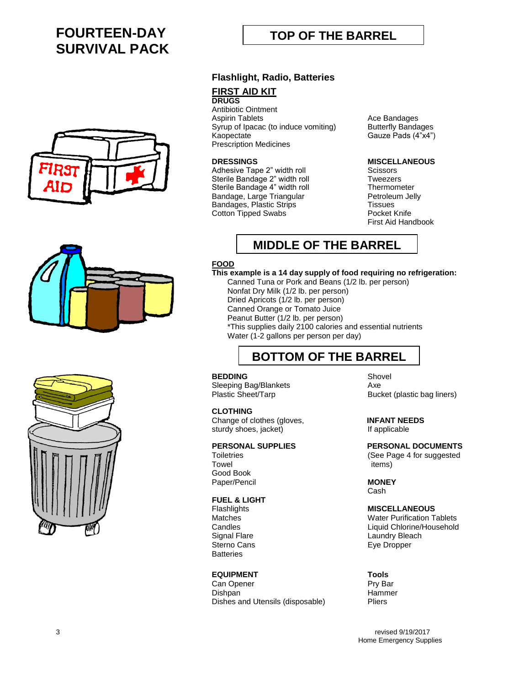# **FOURTEEN-DAY SURVIVAL PACK**





# **TOP OF THE BARREL**

### **Flashlight, Radio, Batteries**

### **FIRST AID KIT**

### **DRUGS**

Antibiotic Ointment<br>Aspirin Tablets Syrup of Ipacac (to induce vomiting) Butterfly Bandages Kaopectate Gauze Pads (4"x4") Prescription Medicines

Adhesive Tape 2" width roll Sterile Bandage 2" width roll **TWEEF** Tweezers Sterile Bandage 4" width roll Thermometer<br>Bandage, Large Triangular Sandage, Detroleum Jelly Bandage, Large Triangular Bandages, Plastic Strips Tissues<br>Cotton Tipped Swabs The Theory Pocket Knife Cotton Tipped Swabs

**Ace Bandages** 

# **DRESSINGS MISCELLANEOUS**

First Aid Handbook

# **MIDDLE OF THE BARREL**

### **FOOD**

### **This example is a 14 day supply of food requiring no refrigeration:**

Canned Tuna or Pork and Beans (1/2 lb. per person) Nonfat Dry Milk (1/2 lb. per person) Dried Apricots (1/2 lb. per person) Canned Orange or Tomato Juice Peanut Butter (1/2 lb. per person) \*This supplies daily 2100 calories and essential nutrients Water (1-2 gallons per person per day)

## **BOTTOM OF THE BARREL**

### **BEDDING** Shovel Sleeping Bag/Blankets **Axe**

 **CLOTHING** Change of clothes (gloves, **INFANT NEEDS** sturdy shoes, jacket) **If** applicable

Towel items Good Book Paper/Pencil **MONEY**

### **FUEL & LIGHT**

Flashlights **MISCELLANEOUS Batteries** 

### **EQUIPMENT Tools**

Can Opener **Pry Bar** Dishpan Hammer Dishes and Utensils (disposable) Pliers

Plastic Sheet/Tarp Bucket (plastic bag liners)

**PERSONAL SUPPLIES PERSONAL DOCUMENTS** Toiletries (See Page 4 for suggested

Cash

**Water Purification Tablets** Candles Liquid Chlorine/Household Signal Flare **Laundry Bleach**<br>
Sterno Cans **Laundry Bleach**<br>
Eve Dropper Eye Dropper

3 revised 9/19/2017 Home Emergency Supplies

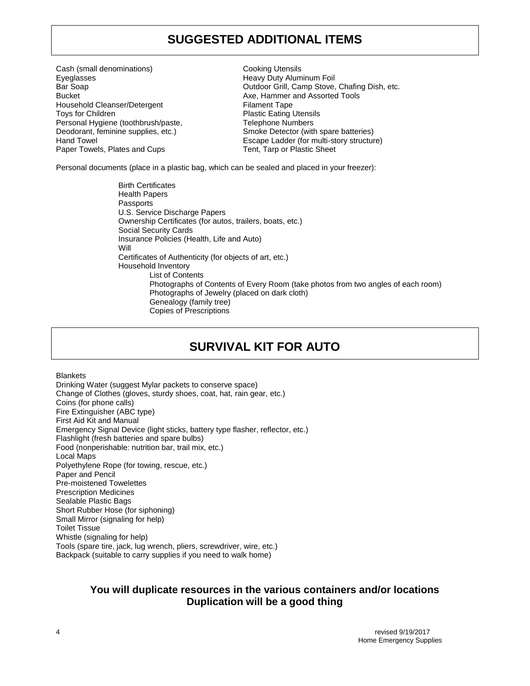## **SUGGESTED ADDITIONAL ITEMS**

Cash (small denominations) Cooking Utensils Eyeglasses Heavy Duty Aluminum Foil Bucket **Axe, Hammer and Assorted Tools Bucket** Household Cleanser/Detergent Filament Tape Toys for Children **Plastic Eating Utensils** Personal Hygiene (toothbrush/paste, Telephone Numbers Paper Towels, Plates and Cups Tent, Tarp or Plastic Sheet

Bar Soap Outdoor Grill, Camp Stove, Chafing Dish, etc. Deodorant, feminine supplies, etc.) Smoke Detector (with spare batteries) Hand Towel Escape Ladder (for multi-story structure)

Personal documents (place in a plastic bag, which can be sealed and placed in your freezer):

Birth Certificates Health Papers Passports U.S. Service Discharge Papers Ownership Certificates (for autos, trailers, boats, etc.) Social Security Cards Insurance Policies (Health, Life and Auto) Will Certificates of Authenticity (for objects of art, etc.) Household Inventory List of Contents Photographs of Contents of Every Room (take photos from two angles of each room) Photographs of Jewelry (placed on dark cloth) Genealogy (family tree) Copies of Prescriptions

# **SURVIVAL KIT FOR AUTO**

**Blankets** 

Drinking Water (suggest Mylar packets to conserve space) Change of Clothes (gloves, sturdy shoes, coat, hat, rain gear, etc.) Coins (for phone calls) Fire Extinguisher (ABC type) First Aid Kit and Manual Emergency Signal Device (light sticks, battery type flasher, reflector, etc.) Flashlight (fresh batteries and spare bulbs) Food (nonperishable: nutrition bar, trail mix, etc.) Local Maps Polyethylene Rope (for towing, rescue, etc.) Paper and Pencil Pre-moistened Towelettes Prescription Medicines Sealable Plastic Bags Short Rubber Hose (for siphoning) Small Mirror (signaling for help) Toilet Tissue Whistle (signaling for help) Tools (spare tire, jack, lug wrench, pliers, screwdriver, wire, etc.) Backpack (suitable to carry supplies if you need to walk home)

### **You will duplicate resources in the various containers and/or locations Duplication will be a good thing**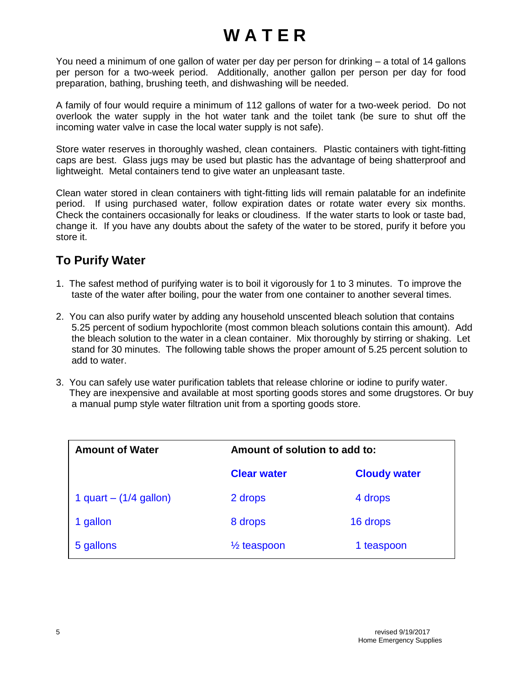# **W A T E R**

You need a minimum of one gallon of water per day per person for drinking – a total of 14 gallons per person for a two-week period. Additionally, another gallon per person per day for food preparation, bathing, brushing teeth, and dishwashing will be needed.

A family of four would require a minimum of 112 gallons of water for a two-week period. Do not overlook the water supply in the hot water tank and the toilet tank (be sure to shut off the incoming water valve in case the local water supply is not safe).

Store water reserves in thoroughly washed, clean containers. Plastic containers with tight-fitting caps are best. Glass jugs may be used but plastic has the advantage of being shatterproof and lightweight. Metal containers tend to give water an unpleasant taste.

Clean water stored in clean containers with tight-fitting lids will remain palatable for an indefinite period. If using purchased water, follow expiration dates or rotate water every six months. Check the containers occasionally for leaks or cloudiness. If the water starts to look or taste bad, change it. If you have any doubts about the safety of the water to be stored, purify it before you store it.

## **To Purify Water**

- 1. The safest method of purifying water is to boil it vigorously for 1 to 3 minutes. To improve the taste of the water after boiling, pour the water from one container to another several times.
- 2. You can also purify water by adding any household unscented bleach solution that contains 5.25 percent of sodium hypochlorite (most common bleach solutions contain this amount). Add the bleach solution to the water in a clean container. Mix thoroughly by stirring or shaking. Let stand for 30 minutes. The following table shows the proper amount of 5.25 percent solution to add to water.
- 3. You can safely use water purification tablets that release chlorine or iodine to purify water. They are inexpensive and available at most sporting goods stores and some drugstores. Or buy a manual pump style water filtration unit from a sporting goods store.

| <b>Amount of Water</b>   | Amount of solution to add to: |                     |
|--------------------------|-------------------------------|---------------------|
|                          | <b>Clear water</b>            | <b>Cloudy water</b> |
| 1 quart $-$ (1/4 gallon) | 2 drops                       | 4 drops             |
| 1 gallon                 | 8 drops                       | 16 drops            |
| 5 gallons                | $\frac{1}{2}$ teaspoon        | 1 teaspoon          |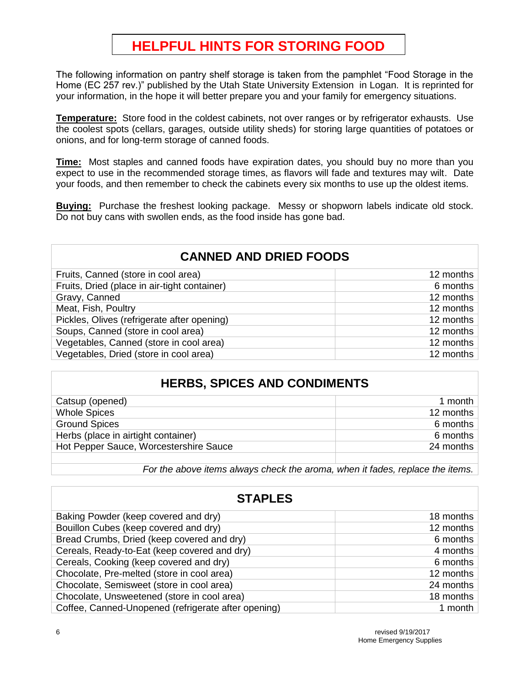# **HELPFUL HINTS FOR STORING FOOD**

The following information on pantry shelf storage is taken from the pamphlet "Food Storage in the Home (EC 257 rev.)" published by the Utah State University Extension in Logan. It is reprinted for your information, in the hope it will better prepare you and your family for emergency situations.

**Temperature:** Store food in the coldest cabinets, not over ranges or by refrigerator exhausts. Use the coolest spots (cellars, garages, outside utility sheds) for storing large quantities of potatoes or onions, and for long-term storage of canned foods.

**Time:** Most staples and canned foods have expiration dates, you should buy no more than you expect to use in the recommended storage times, as flavors will fade and textures may wilt. Date your foods, and then remember to check the cabinets every six months to use up the oldest items.

**Buying:** Purchase the freshest looking package. Messy or shopworn labels indicate old stock. Do not buy cans with swollen ends, as the food inside has gone bad.

| <b>CANNED AND DRIED FOODS</b>                |           |  |
|----------------------------------------------|-----------|--|
| Fruits, Canned (store in cool area)          | 12 months |  |
| Fruits, Dried (place in air-tight container) | 6 months  |  |
| Gravy, Canned                                | 12 months |  |
| Meat, Fish, Poultry                          | 12 months |  |
| Pickles, Olives (refrigerate after opening)  | 12 months |  |
| Soups, Canned (store in cool area)           | 12 months |  |
| Vegetables, Canned (store in cool area)      | 12 months |  |
| Vegetables, Dried (store in cool area)       | 12 months |  |

### **HERBS, SPICES AND CONDIMENTS**

| Catsup (opened)                        | 1 month   |
|----------------------------------------|-----------|
| <b>Whole Spices</b>                    | 12 months |
| <b>Ground Spices</b>                   | 6 months  |
| Herbs (place in airtight container)    | 6 months  |
| Hot Pepper Sauce, Worcestershire Sauce | 24 months |
|                                        |           |

*For the above items always check the aroma, when it fades, replace the items.*

| Baking Powder (keep covered and dry)                | 18 months |
|-----------------------------------------------------|-----------|
| Bouillon Cubes (keep covered and dry)               | 12 months |
| Bread Crumbs, Dried (keep covered and dry)          | 6 months  |
| Cereals, Ready-to-Eat (keep covered and dry)        | 4 months  |
| Cereals, Cooking (keep covered and dry)             | 6 months  |
| Chocolate, Pre-melted (store in cool area)          | 12 months |
| Chocolate, Semisweet (store in cool area)           | 24 months |
| Chocolate, Unsweetened (store in cool area)         | 18 months |
| Coffee, Canned-Unopened (refrigerate after opening) | 1 month   |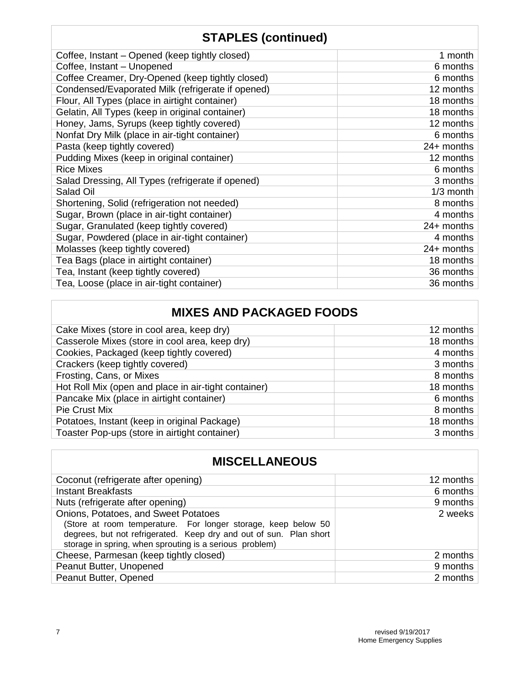# **STAPLES (continued)**

| 1 month      |
|--------------|
| 6 months     |
| 6 months     |
| 12 months    |
| 18 months    |
| 18 months    |
| 12 months    |
| 6 months     |
| $24+$ months |
| 12 months    |
| 6 months     |
| 3 months     |
| $1/3$ month  |
| 8 months     |
| 4 months     |
| 24+ months   |
| 4 months     |
| 24+ months   |
| 18 months    |
| 36 months    |
| 36 months    |
|              |

# **MIXES AND PACKAGED FOODS**

| Cake Mixes (store in cool area, keep dry)            | 12 months |
|------------------------------------------------------|-----------|
| Casserole Mixes (store in cool area, keep dry)       | 18 months |
| Cookies, Packaged (keep tightly covered)             | 4 months  |
| Crackers (keep tightly covered)                      | 3 months  |
| Frosting, Cans, or Mixes                             | 8 months  |
| Hot Roll Mix (open and place in air-tight container) | 18 months |
| Pancake Mix (place in airtight container)            | 6 months  |
| Pie Crust Mix                                        | 8 months  |
| Potatoes, Instant (keep in original Package)         | 18 months |
| Toaster Pop-ups (store in airtight container)        | 3 months  |

## **MISCELLANEOUS**

| Coconut (refrigerate after opening)                                | 12 months |
|--------------------------------------------------------------------|-----------|
| <b>Instant Breakfasts</b>                                          | 6 months  |
| Nuts (refrigerate after opening)                                   | 9 months  |
| Onions, Potatoes, and Sweet Potatoes                               | 2 weeks   |
| (Store at room temperature. For longer storage, keep below 50      |           |
| degrees, but not refrigerated. Keep dry and out of sun. Plan short |           |
| storage in spring, when sprouting is a serious problem)            |           |
| Cheese, Parmesan (keep tightly closed)                             | 2 months  |
| Peanut Butter, Unopened                                            | 9 months  |
| Peanut Butter, Opened                                              | 2 months  |